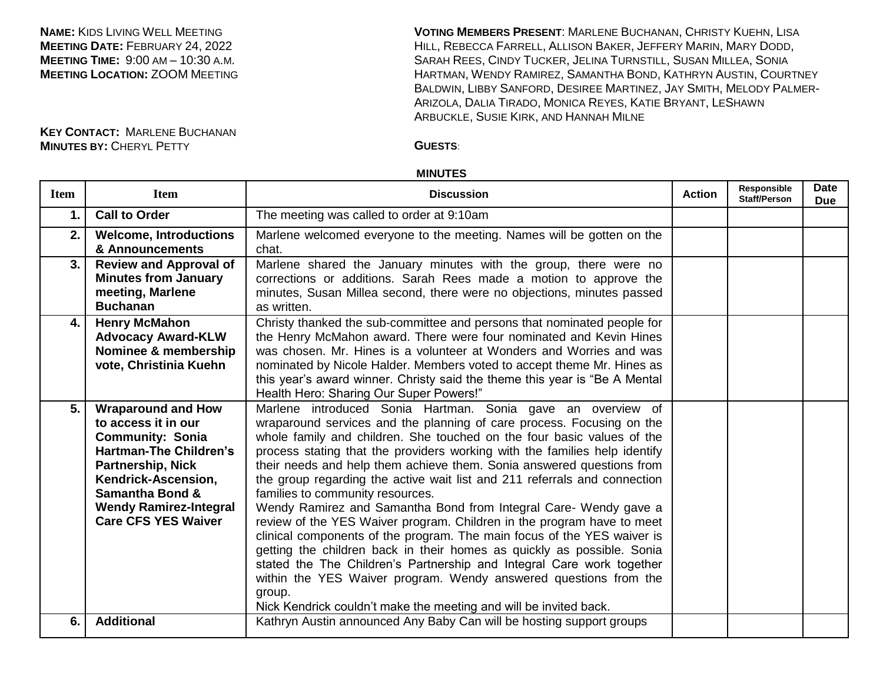**NAME:** KIDS LIVING WELL MEETING **MEETING DATE:** FEBRUARY 24, 2022 **MEETING TIME:** 9:00 AM – 10:30 A.M. **MEETING LOCATION:** ZOOM MEETING

**VOTING MEMBERS PRESENT**: MARLENE BUCHANAN, CHRISTY KUEHN, LISA HILL, REBECCA FARRELL, ALLISON BAKER, JEFFERY MARIN, MARY DODD, SARAH REES, CINDY TUCKER, JELINA TURNSTILL, SUSAN MILLEA, SONIA HARTMAN, WENDY RAMIREZ, SAMANTHA BOND, KATHRYN AUSTIN, COURTNEY BALDWIN, LIBBY SANFORD, DESIREE MARTINEZ, JAY SMITH, MELODY PALMER-ARIZOLA, DALIA TIRADO, MONICA REYES, KATIE BRYANT, LESHAWN ARBUCKLE, SUSIE KIRK, AND HANNAH MILNE

**KEY CONTACT:** MARLENE BUCHANAN **MINUTES BY:** CHERYL PETTY **GUESTS**:

## **MINUTES**

| <b>Item</b>    | <b>Item</b>                                                                                                                                                                                                                                                  | <b>Discussion</b>                                                                                                                                                                                                                                                                                                                                                                                                                                                                                                                                                                                                                                                                                                                                                                                                                                                                                                                                                                                                     | <b>Action</b> | Responsible<br><b>Staff/Person</b> | Date<br><b>Due</b> |
|----------------|--------------------------------------------------------------------------------------------------------------------------------------------------------------------------------------------------------------------------------------------------------------|-----------------------------------------------------------------------------------------------------------------------------------------------------------------------------------------------------------------------------------------------------------------------------------------------------------------------------------------------------------------------------------------------------------------------------------------------------------------------------------------------------------------------------------------------------------------------------------------------------------------------------------------------------------------------------------------------------------------------------------------------------------------------------------------------------------------------------------------------------------------------------------------------------------------------------------------------------------------------------------------------------------------------|---------------|------------------------------------|--------------------|
| $\mathbf{1}$ . | <b>Call to Order</b>                                                                                                                                                                                                                                         | The meeting was called to order at 9:10am                                                                                                                                                                                                                                                                                                                                                                                                                                                                                                                                                                                                                                                                                                                                                                                                                                                                                                                                                                             |               |                                    |                    |
| 2.             | <b>Welcome, Introductions</b><br>& Announcements                                                                                                                                                                                                             | Marlene welcomed everyone to the meeting. Names will be gotten on the<br>chat.                                                                                                                                                                                                                                                                                                                                                                                                                                                                                                                                                                                                                                                                                                                                                                                                                                                                                                                                        |               |                                    |                    |
| 3.             | <b>Review and Approval of</b><br><b>Minutes from January</b><br>meeting, Marlene<br><b>Buchanan</b>                                                                                                                                                          | Marlene shared the January minutes with the group, there were no<br>corrections or additions. Sarah Rees made a motion to approve the<br>minutes, Susan Millea second, there were no objections, minutes passed<br>as written.                                                                                                                                                                                                                                                                                                                                                                                                                                                                                                                                                                                                                                                                                                                                                                                        |               |                                    |                    |
| 4.             | <b>Henry McMahon</b><br><b>Advocacy Award-KLW</b><br>Nominee & membership<br>vote, Christinia Kuehn                                                                                                                                                          | Christy thanked the sub-committee and persons that nominated people for<br>the Henry McMahon award. There were four nominated and Kevin Hines<br>was chosen. Mr. Hines is a volunteer at Wonders and Worries and was<br>nominated by Nicole Halder. Members voted to accept theme Mr. Hines as<br>this year's award winner. Christy said the theme this year is "Be A Mental<br>Health Hero: Sharing Our Super Powers!"                                                                                                                                                                                                                                                                                                                                                                                                                                                                                                                                                                                               |               |                                    |                    |
| 5.             | <b>Wraparound and How</b><br>to access it in our<br><b>Community: Sonia</b><br><b>Hartman-The Children's</b><br><b>Partnership, Nick</b><br>Kendrick-Ascension,<br><b>Samantha Bond &amp;</b><br><b>Wendy Ramirez-Integral</b><br><b>Care CFS YES Waiver</b> | Marlene introduced Sonia Hartman. Sonia gave an overview of<br>wraparound services and the planning of care process. Focusing on the<br>whole family and children. She touched on the four basic values of the<br>process stating that the providers working with the families help identify<br>their needs and help them achieve them. Sonia answered questions from<br>the group regarding the active wait list and 211 referrals and connection<br>families to community resources.<br>Wendy Ramirez and Samantha Bond from Integral Care- Wendy gave a<br>review of the YES Waiver program. Children in the program have to meet<br>clinical components of the program. The main focus of the YES waiver is<br>getting the children back in their homes as quickly as possible. Sonia<br>stated the The Children's Partnership and Integral Care work together<br>within the YES Waiver program. Wendy answered questions from the<br>group.<br>Nick Kendrick couldn't make the meeting and will be invited back. |               |                                    |                    |
| 6.             | <b>Additional</b>                                                                                                                                                                                                                                            | Kathryn Austin announced Any Baby Can will be hosting support groups                                                                                                                                                                                                                                                                                                                                                                                                                                                                                                                                                                                                                                                                                                                                                                                                                                                                                                                                                  |               |                                    |                    |